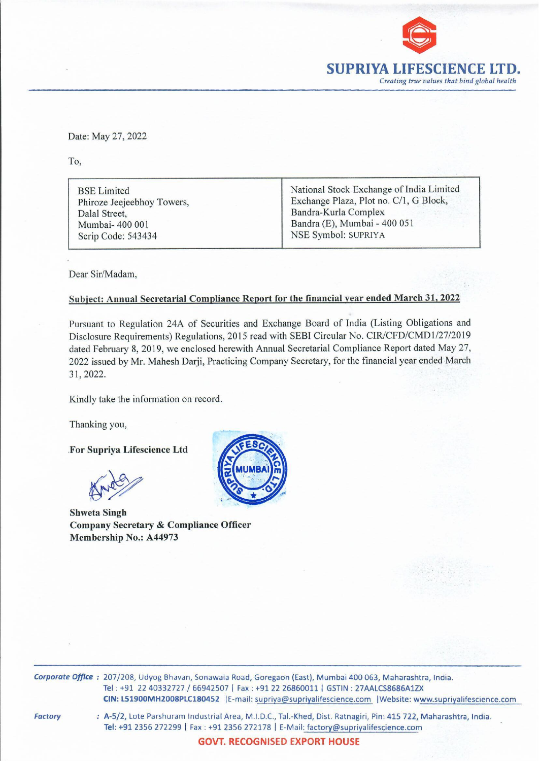

Date: May 27, 2022<br>To, Date: May 27, 2022

To,

Date: May 27, 2022<br>To,<br>BSE Limited<br>Phiroze Jeejeebhoy Towers,<br>Dalal Street,<br>Mumbai-400 001<br>Scrip Code: 543434 Dalal Street, Bandra-Kurla Complex Mumbai- 400 001 **Bandra (E)**, Mumbai - 400 051 Scrip Code: 543434 NSE Symbol: SUPRIYA

BSE Limited National Stock Exchange of India Limited Phiroze Jeejeebhoy Towers, Exchange Plaza, Plot no. C/1, G Block,

Dear Sir/Madam,

## Subject: Annual Secretarial Compliance Report for the financial year ended March 31, 2022

Pursuant to Regulation 24A of Securities and Exchange Board of India (Listing Obligations and Disclosure Requirements) Regulations, 2015 read with SEBI Circular No. CIR/CFD/CMD1/27/2019 dated February 8, 2019, we enclosed herewith Annual Secretarial Compliance Report dated May 27, 2022 issued by Mr. Mahesh Darji, Practicing Company Secretary, for the financial year ended March 31, 2022.

Kindly take the information on record.

Thanking you,

For Supriya Lifescience Ltd

 $\mathbb{N}$ Knee

Shweta Singh Company Secretary & Compliance Officer Membership No.: A44973



Corporate Office : 207/208, Udyog Bhavan, Sonawala Road, Goregaon (East), Mumbai 400 063, Maharashtra, India. Tel : +91 22 40332727 / 66942507 | Fax : +91 22 26860011 | GSTIN : 27AALCS8686A1ZX CIN: L51900MH2008PLC180452 |E-mail: supriya@supriyalifescience.com |Website: www.supriyalifescience.com

Factory

2 | E-mail: su<br>2 | E-mail: su<br>al Area, M.I.I<br>11 2356 2721<br>**/T. RECOG** : A-5/2, Lote Parshuram Industrial Area, M.1.D.C., Tal.-Khed, Dist. Ratnagiri, Pin: 415 722, Maharashtra, India. Tel: +91 2356 272299 | Fax : +91 2356 272178 | E-Mail: factory@supriyalifescience.com

GOVT. RECOGNISED EXPORT HOUSE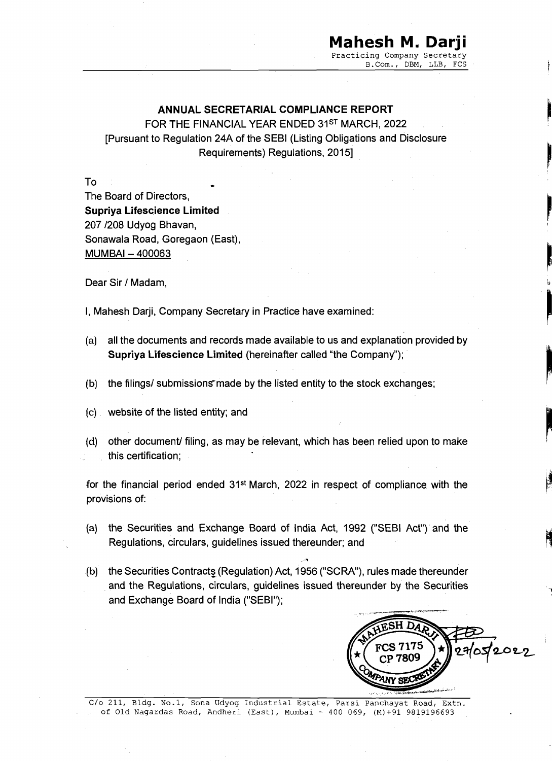## Mahesh M. Darji Practicing Company Secretary

B.Com., DBM, LLB, FCS

TEE – a English

rt

iy. to each the contract of the contract of the contract of the contract of the contract of the contract of the contract of the contract of the contract of the contract of the contract of the contract of the contract of th

## ANNUAL SECRETARIAL COMPLIANCE REPORT

FOR THE FINANCIAL YEAR ENDED 31ST MARCH, 2022 [Pursuant to Regulation 24A of the SEBI (Listing Obligations and Disclosure Requirements) Regulations, 2015]

To The Board of Directors, Supriya Lifescience Limited 207 /208 Udyog Bhavan, Sonawala Road, Goregaon (East), MUMBAI — 400063

Dear Sir / Madam,

|, Mahesh Darji, Company Secretary in Practice have examined:

- (a) all the documents and records made available to us and explanation provided by Supriya Lifescience Limited (hereinafter called "the Company");
- (b) the filings/ submissions made by the listed entity to the stock exchanges;
- (c) website of the listed entity; and
- (d) other document/ filing, as may be relevant, which has been relied upon to make this certification;

for the financial period ended 31st March, 2022 in respect of compliance with the provisions of:

- {a) the Securities and Exchange Board of India Act, 1992 ("SEBI Act") and the Regulations, circulars, guidelines issued thereunder; and
- (b) the Securities Contracts (Regulation) Act, 1956 ("SCRA"), rules made thereunder and the Regulations, circulars, guidelines issued thereunder by the Securities and Exchange Board of India ("SEBI"); (a) all the documents and records made a<br>Supriya Lifescience Limited (herein<br>(b) the filings/ submissions made by the I<br>(c) website of the listed entity; and<br>(d) other document/ filing, as may be rele<br>this certification;<br>f



C/o 211, Bldg. No.1, Sona Udyog Industrial Estate, Parsi Panchayat Road, Extn.<br>of Old Nagardas Road, Andheri (East), Mumbai - 400 069, (M)+91 9819196693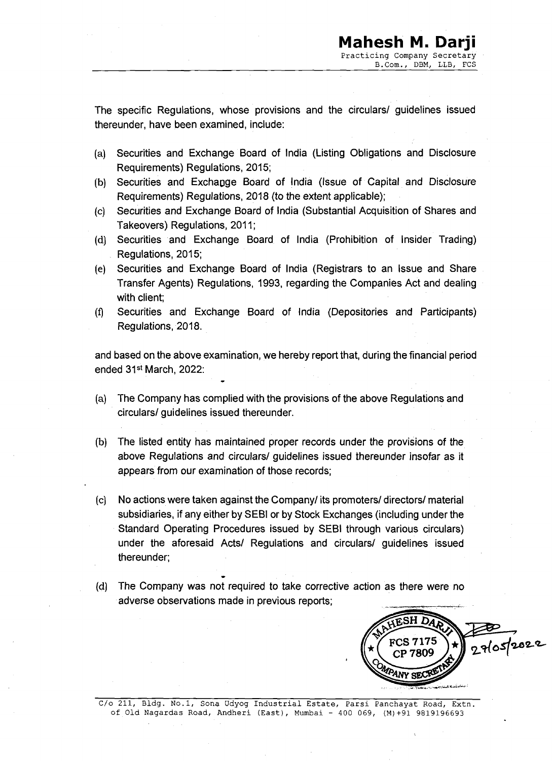The specific Regulations, whose provisions and the circulars/ guidelines issued thereunder, have been examined, include:

- (a) Securities and Exchange Board of India (Listing Obligations and Disclosure Requirements) Regulations, 2015;
- (b) Securities and Exchapge Board of India (Issue of Capital and Disclosure Requirements) Regulations, 2018 (to the extent applicable);
- $(c)$ Securities and Exchange Board of India (Substantial Acquisition of Snares and Takeovers) Regulations, 2011;
- (d) Securities and Exchange Board of India (Prohibition of Insider Trading) Regulations, 2015;
- $(e)$ Securities and Exchange Board of India (Registrars to an Issue and Share Transfer Agents) Regulations, 1993, regarding the Companies Act and dealing with client;
- Securities and Exchange Board of India (Depositories and Participants) Regulations, 2018.

and based on the above examination, we hereby report that, during the financial period ended 31<sup>st</sup> March, 2022:

(a) The Company has complied with the provisions of the above Regulations and circulars/ guidelines issued thereunder.

-

- (b) The listed entity has maintained proper records under the provisions of the above Regulations and circulars/ guidelines issued thereunder insofar as it appears from our examination of those records;
- $(c)$ No actions were taken against the Company/ its promoters/ directors/ material subsidiaries, if any either by SEBI or by Stock Exchanges (including under the Standard Operating Procedures issued by SEBI through various circulars) under the aforesaid Acts/ Regulations and circulars/ guidelines issued thereunder; Regulations, 2018.<br>
and based on the above examination, we hereby report that, during the financial period<br>
ended 31<sup>st</sup> March, 2022:<br>
(a) The Company has complied with the provisions of the above Regulations and<br>
circular
- (d) The Company was not required to take corrective action as there were no adverse observations made in previous reports;

COMPANY SECRET DARY

of Old Nagardas Road, Andheri (East), Mumbai - 400 069, (M)+91 9819196693